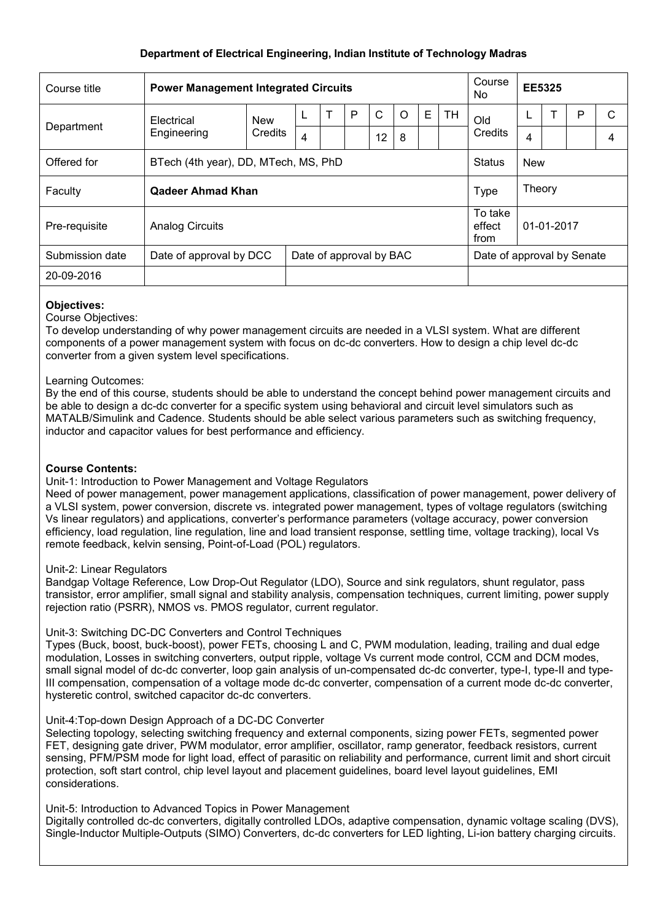# **Department of Electrical Engineering, Indian Institute of Technology Madras**

| Course title    | <b>Power Management Integrated Circuits</b>        |                       |                |  |   |              |         |   |                            | Course<br>No.             | <b>EE5325</b> |  |   |                |
|-----------------|----------------------------------------------------|-----------------------|----------------|--|---|--------------|---------|---|----------------------------|---------------------------|---------------|--|---|----------------|
| Department      | Electrical<br>Engineering                          | <b>New</b><br>Credits |                |  | P | $\mathsf{C}$ | $\circ$ | E | <b>TH</b>                  | Old<br>Credits            | L             |  | Р | C              |
|                 |                                                    |                       | $\overline{4}$ |  |   | 12           | 8       |   |                            |                           | 4             |  |   | $\overline{4}$ |
| Offered for     | BTech (4th year), DD, MTech, MS, PhD               |                       |                |  |   |              |         |   |                            | <b>Status</b>             | <b>New</b>    |  |   |                |
| Faculty         | Qadeer Ahmad Khan                                  |                       |                |  |   |              |         |   |                            | Type                      | Theory        |  |   |                |
| Pre-requisite   | <b>Analog Circuits</b>                             |                       |                |  |   |              |         |   |                            | To take<br>effect<br>from | 01-01-2017    |  |   |                |
| Submission date | Date of approval by DCC<br>Date of approval by BAC |                       |                |  |   |              |         |   | Date of approval by Senate |                           |               |  |   |                |
| 20-09-2016      |                                                    |                       |                |  |   |              |         |   |                            |                           |               |  |   |                |

### **Objectives:**

Course Objectives:

To develop understanding of why power management circuits are needed in a VLSI system. What are different components of a power management system with focus on dc-dc converters. How to design a chip level dc-dc converter from a given system level specifications.

#### Learning Outcomes:

By the end of this course, students should be able to understand the concept behind power management circuits and be able to design a dc-dc converter for a specific system using behavioral and circuit level simulators such as MATALB/Simulink and Cadence. Students should be able select various parameters such as switching frequency, inductor and capacitor values for best performance and efficiency.

## **Course Contents:**

#### Unit-1: Introduction to Power Management and Voltage Regulators

Need of power management, power management applications, classification of power management, power delivery of a VLSI system, power conversion, discrete vs. integrated power management, types of voltage regulators (switching Vs linear regulators) and applications, converter's performance parameters (voltage accuracy, power conversion efficiency, load regulation, line regulation, line and load transient response, settling time, voltage tracking), local Vs remote feedback, kelvin sensing, Point-of-Load (POL) regulators.

#### Unit-2: Linear Regulators

Bandgap Voltage Reference, Low Drop-Out Regulator (LDO), Source and sink regulators, shunt regulator, pass transistor, error amplifier, small signal and stability analysis, compensation techniques, current limiting, power supply rejection ratio (PSRR), NMOS vs. PMOS regulator, current regulator.

#### Unit-3: Switching DC-DC Converters and Control Techniques

Types (Buck, boost, buck-boost), power FETs, choosing L and C, PWM modulation, leading, trailing and dual edge modulation, Losses in switching converters, output ripple, voltage Vs current mode control, CCM and DCM modes, small signal model of dc-dc converter, loop gain analysis of un-compensated dc-dc converter, type-I, type-II and type-III compensation, compensation of a voltage mode dc-dc converter, compensation of a current mode dc-dc converter, hysteretic control, switched capacitor dc-dc converters.

#### Unit-4:Top-down Design Approach of a DC-DC Converter

Selecting topology, selecting switching frequency and external components, sizing power FETs, segmented power FET, designing gate driver, PWM modulator, error amplifier, oscillator, ramp generator, feedback resistors, current sensing, PFM/PSM mode for light load, effect of parasitic on reliability and performance, current limit and short circuit protection, soft start control, chip level layout and placement guidelines, board level layout guidelines, EMI considerations.

## Unit-5: Introduction to Advanced Topics in Power Management

Digitally controlled dc-dc converters, digitally controlled LDOs, adaptive compensation, dynamic voltage scaling (DVS), Single-Inductor Multiple-Outputs (SIMO) Converters, dc-dc converters for LED lighting, Li-ion battery charging circuits.